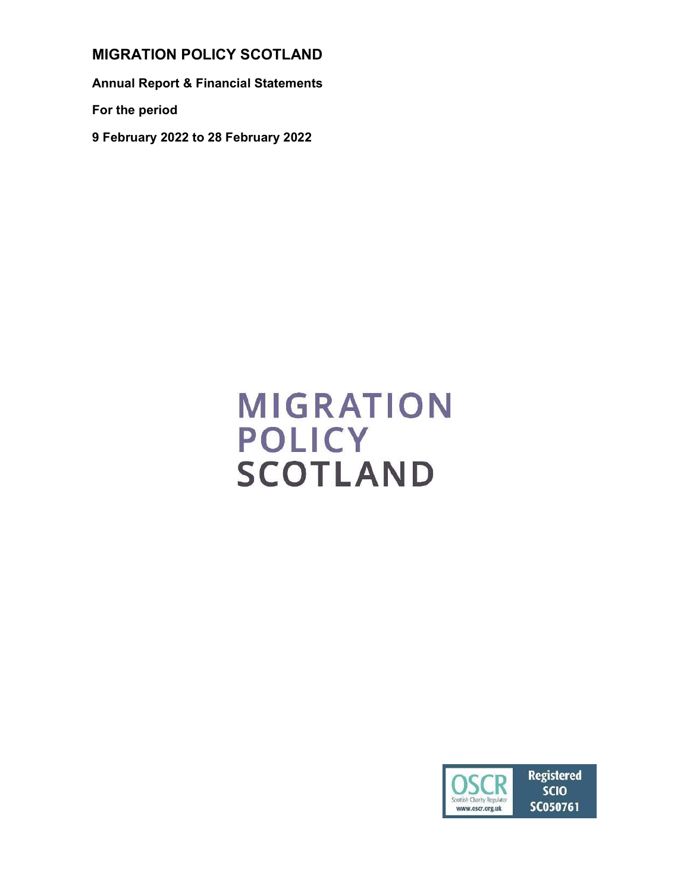MIGRATION POLICY SCOTLAND

Annual Report & Financial Statements

For the period

9 February 2022 to 28 February 2022

# **MIGRATION POLICY SCOTLAND**

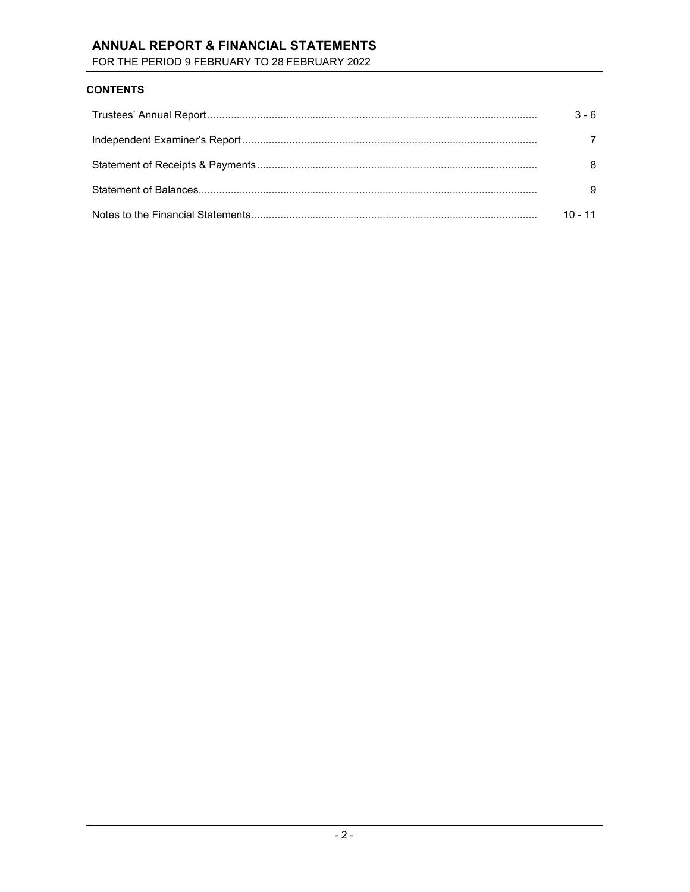# ANNUAL REPORT & FINANCIAL STATEMENTS

FOR THE PERIOD 9 FEBRUARY TO 28 FEBRUARY 2022

## **CONTENTS**

| $3 - 6$   |
|-----------|
|           |
|           |
|           |
| $10 - 11$ |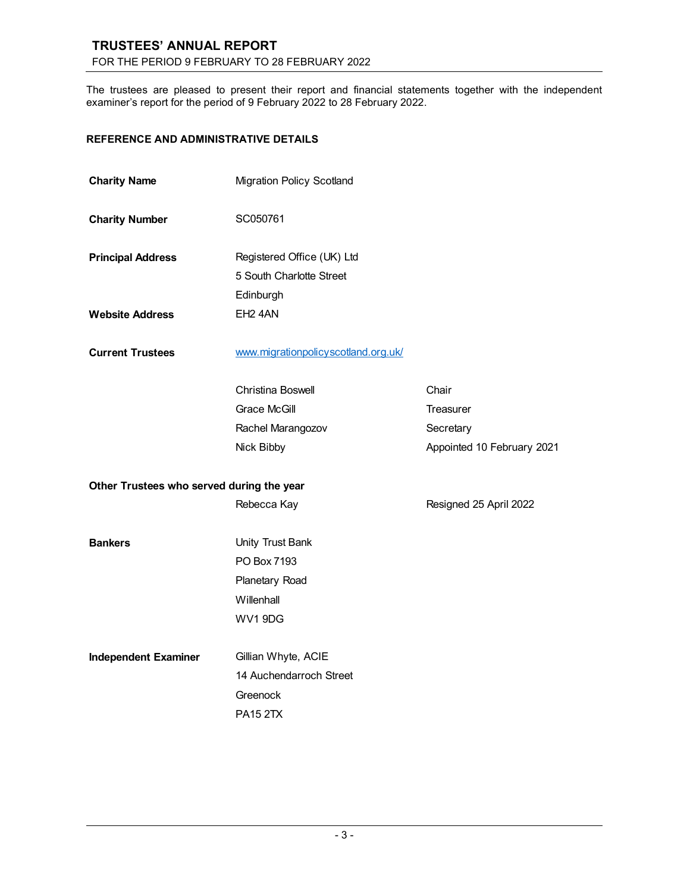# TRUSTEES' ANNUAL REPORT FOR THE PERIOD 9 FEBRUARY TO 28 FEBRUARY 2022

The trustees are pleased to present their report and financial statements together with the independent examiner's report for the period of 9 February 2022 to 28 February 2022.

# REFERENCE AND ADMINISTRATIVE DETAILS

| <b>Charity Name</b>                       | <b>Migration Policy Scotland</b>    |                            |
|-------------------------------------------|-------------------------------------|----------------------------|
| <b>Charity Number</b>                     | SC050761                            |                            |
| <b>Principal Address</b>                  | Registered Office (UK) Ltd          |                            |
|                                           | 5 South Charlotte Street            |                            |
|                                           | Edinburgh                           |                            |
| <b>Website Address</b>                    | EH <sub>2</sub> 4AN                 |                            |
| <b>Current Trustees</b>                   | www.migrationpolicyscotland.org.uk/ |                            |
|                                           | Christina Boswell                   | Chair                      |
|                                           | Grace McGill                        | <b>Treasurer</b>           |
|                                           | Rachel Marangozov                   | Secretary                  |
|                                           | Nick Bibby                          | Appointed 10 February 2021 |
| Other Trustees who served during the year |                                     |                            |
|                                           | Rebecca Kay                         | Resigned 25 April 2022     |
| <b>Bankers</b>                            | Unity Trust Bank                    |                            |
|                                           | PO Box 7193                         |                            |
|                                           | Planetary Road                      |                            |
|                                           | Willenhall                          |                            |
|                                           | WV1 9DG                             |                            |
| <b>Independent Examiner</b>               | Gillian Whyte, ACIE                 |                            |
|                                           | 14 Auchendarroch Street             |                            |
|                                           | Greenock                            |                            |
|                                           | <b>PA15 2TX</b>                     |                            |
|                                           |                                     |                            |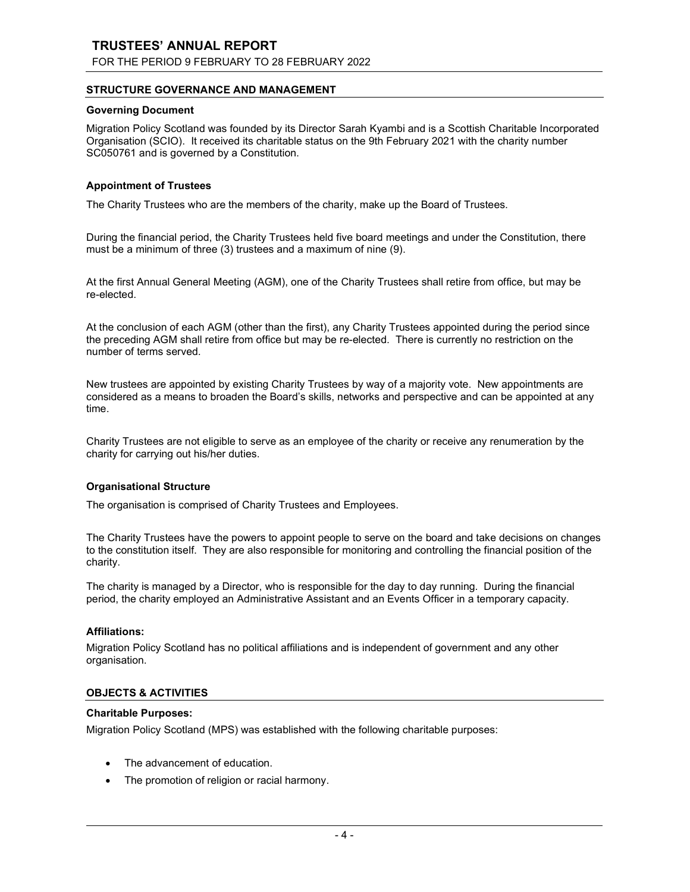# TRUSTEES' ANNUAL REPORT

FOR THE PERIOD 9 FEBRUARY TO 28 FEBRUARY 2022

#### STRUCTURE GOVERNANCE AND MANAGEMENT

#### Governing Document

Migration Policy Scotland was founded by its Director Sarah Kyambi and is a Scottish Charitable Incorporated Organisation (SCIO). It received its charitable status on the 9th February 2021 with the charity number SC050761 and is governed by a Constitution.

#### Appointment of Trustees

The Charity Trustees who are the members of the charity, make up the Board of Trustees.

During the financial period, the Charity Trustees held five board meetings and under the Constitution, there must be a minimum of three (3) trustees and a maximum of nine (9).

At the first Annual General Meeting (AGM), one of the Charity Trustees shall retire from office, but may be re-elected.

At the conclusion of each AGM (other than the first), any Charity Trustees appointed during the period since the preceding AGM shall retire from office but may be re-elected. There is currently no restriction on the number of terms served.

New trustees are appointed by existing Charity Trustees by way of a majority vote. New appointments are considered as a means to broaden the Board's skills, networks and perspective and can be appointed at any time.

Charity Trustees are not eligible to serve as an employee of the charity or receive any renumeration by the charity for carrying out his/her duties.

#### Organisational Structure

The organisation is comprised of Charity Trustees and Employees.

The Charity Trustees have the powers to appoint people to serve on the board and take decisions on changes to the constitution itself. They are also responsible for monitoring and controlling the financial position of the charity.

The charity is managed by a Director, who is responsible for the day to day running. During the financial period, the charity employed an Administrative Assistant and an Events Officer in a temporary capacity.

#### Affiliations:

Migration Policy Scotland has no political affiliations and is independent of government and any other organisation.

#### OBJECTS & ACTIVITIES

#### Charitable Purposes:

Migration Policy Scotland (MPS) was established with the following charitable purposes:

- The advancement of education.
- The promotion of religion or racial harmony.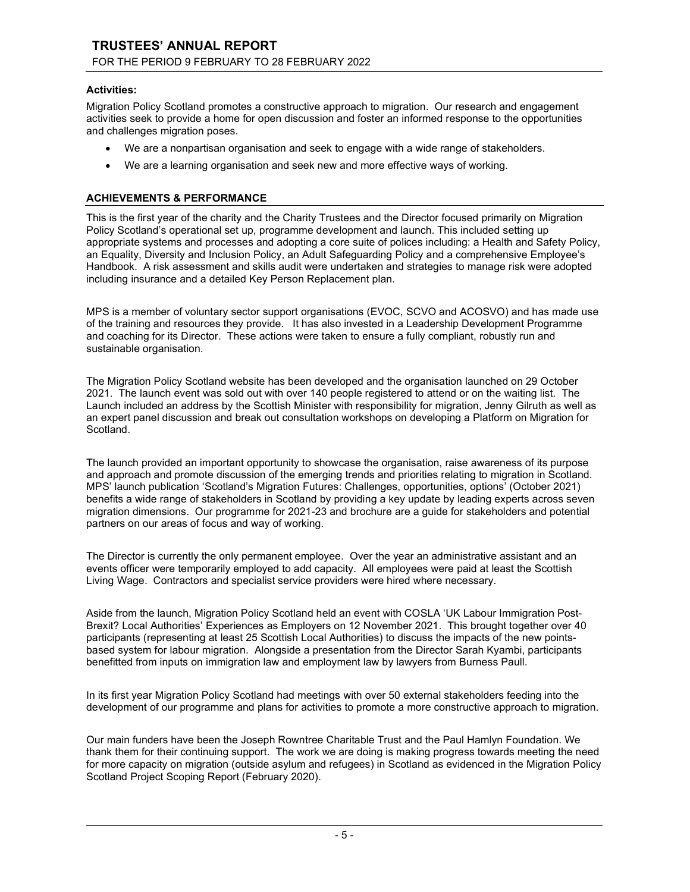# TRUSTEES' ANNUAL REPORT FOR THE PERIOD 9 FEBRUARY TO 28 FEBRUARY 2022

#### Activities:

Migration Policy Scotland promotes a constructive approach to migration. Our research and engagement activities seek to provide a home for open discussion and foster an informed response to the opportunities and challenges migration poses.

- We are a nonpartisan organisation and seek to engage with a wide range of stakeholders.
- We are a learning organisation and seek new and more effective ways of working.

# ACHIEVEMENTS & PERFORMANCE

This is the first year of the charity and the Charity Trustees and the Director focused primarily on Migration Policy Scotland's operational set up, programme development and launch. This included setting up appropriate systems and processes and adopting a core suite of polices including: a Health and Safety Policy, an Equality, Diversity and Inclusion Policy, an Adult Safeguarding Policy and a comprehensive Employee's Handbook. A risk assessment and skills audit were undertaken and strategies to manage risk were adopted including insurance and a detailed Key Person Replacement plan.

MPS is a member of voluntary sector support organisations (EVOC, SCVO and ACOSVO) and has made use of the training and resources they provide. It has also invested in a Leadership Development Programme and coaching for its Director. These actions were taken to ensure a fully compliant, robustly run and sustainable organisation.

The Migration Policy Scotland website has been developed and the organisation launched on 29 October 2021. The launch event was sold out with over 140 people registered to attend or on the waiting list. The Launch included an address by the Scottish Minister with responsibility for migration, Jenny Gilruth as well as an expert panel discussion and break out consultation workshops on developing a Platform on Migration for Scotland.

The launch provided an important opportunity to showcase the organisation, raise awareness of its purpose and approach and promote discussion of the emerging trends and priorities relating to migration in Scotland. MPS' launch publication 'Scotland's Migration Futures: Challenges, opportunities, options' (October 2021) benefits a wide range of stakeholders in Scotland by providing a key update by leading experts across seven migration dimensions. Our programme for 2021-23 and brochure are a guide for stakeholders and potential partners on our areas of focus and way of working.

The Director is currently the only permanent employee. Over the year an administrative assistant and an events officer were temporarily employed to add capacity. All employees were paid at least the Scottish Living Wage. Contractors and specialist service providers were hired where necessary.

Aside from the launch, Migration Policy Scotland held an event with COSLA 'UK Labour Immigration Post-Brexit? Local Authorities' Experiences as Employers on 12 November 2021. This brought together over 40 participants (representing at least 25 Scottish Local Authorities) to discuss the impacts of the new pointsbased system for labour migration. Alongside a presentation from the Director Sarah Kyambi, participants benefitted from inputs on immigration law and employment law by lawyers from Burness Paull.

In its first year Migration Policy Scotland had meetings with over 50 external stakeholders feeding into the development of our programme and plans for activities to promote a more constructive approach to migration.

Our main funders have been the Joseph Rowntree Charitable Trust and the Paul Hamlyn Foundation. We thank them for their continuing support. The work we are doing is making progress towards meeting the need for more capacity on migration (outside asylum and refugees) in Scotland as evidenced in the Migration Policy Scotland Project Scoping Report (February 2020).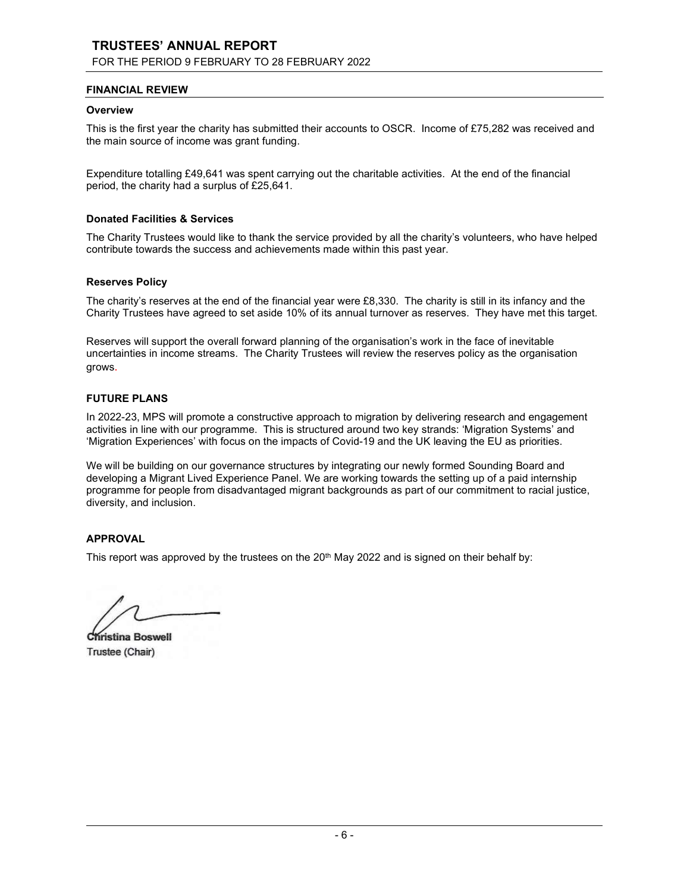# TRUSTEES' ANNUAL REPORT

### FOR THE PERIOD 9 FEBRUARY TO 28 FEBRUARY 2022

#### FINANCIAL REVIEW

#### **Overview**

This is the first year the charity has submitted their accounts to OSCR. Income of £75,282 was received and the main source of income was grant funding.

Expenditure totalling £49,641 was spent carrying out the charitable activities. At the end of the financial period, the charity had a surplus of £25,641.

#### Donated Facilities & Services

The Charity Trustees would like to thank the service provided by all the charity's volunteers, who have helped contribute towards the success and achievements made within this past year.

#### Reserves Policy

The charity's reserves at the end of the financial year were £8,330. The charity is still in its infancy and the Charity Trustees have agreed to set aside 10% of its annual turnover as reserves. They have met this target.

Reserves will support the overall forward planning of the organisation's work in the face of inevitable uncertainties in income streams. The Charity Trustees will review the reserves policy as the organisation grows.

#### FUTURE PLANS

In 2022-23, MPS will promote a constructive approach to migration by delivering research and engagement activities in line with our programme. This is structured around two key strands: 'Migration Systems' and 'Migration Experiences' with focus on the impacts of Covid-19 and the UK leaving the EU as priorities.

We will be building on our governance structures by integrating our newly formed Sounding Board and developing a Migrant Lived Experience Panel. We are working towards the setting up of a paid internship programme for people from disadvantaged migrant backgrounds as part of our commitment to racial justice, diversity, and inclusion.

#### APPROVAL

This report was approved by the trustees on the  $20<sup>th</sup>$  May 2022 and is signed on their behalf by:

Christina Boswell Trustee (Chair)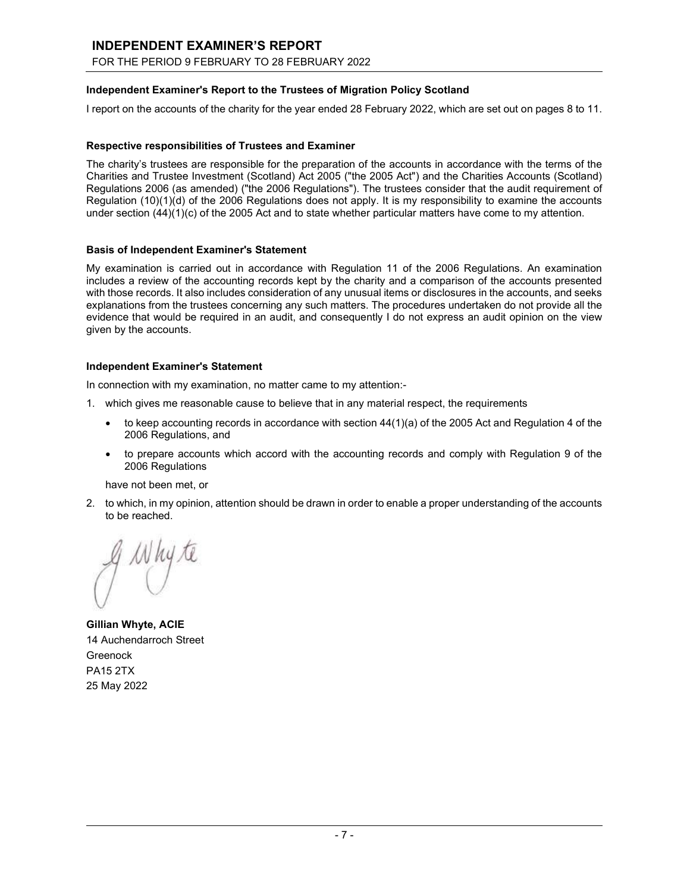# INDEPENDENT EXAMINER'S REPORT

FOR THE PERIOD 9 FEBRUARY TO 28 FEBRUARY 2022

### Independent Examiner's Report to the Trustees of Migration Policy Scotland

I report on the accounts of the charity for the year ended 28 February 2022, which are set out on pages 8 to 11.

#### Respective responsibilities of Trustees and Examiner

The charity's trustees are responsible for the preparation of the accounts in accordance with the terms of the Charities and Trustee Investment (Scotland) Act 2005 ("the 2005 Act") and the Charities Accounts (Scotland) Regulations 2006 (as amended) ("the 2006 Regulations"). The trustees consider that the audit requirement of Regulation (10)(1)(d) of the 2006 Regulations does not apply. It is my responsibility to examine the accounts under section (44)(1)(c) of the 2005 Act and to state whether particular matters have come to my attention.

#### Basis of Independent Examiner's Statement

My examination is carried out in accordance with Regulation 11 of the 2006 Regulations. An examination includes a review of the accounting records kept by the charity and a comparison of the accounts presented with those records. It also includes consideration of any unusual items or disclosures in the accounts, and seeks explanations from the trustees concerning any such matters. The procedures undertaken do not provide all the evidence that would be required in an audit, and consequently I do not express an audit opinion on the view given by the accounts.

#### Independent Examiner's Statement

In connection with my examination, no matter came to my attention:-

- 1. which gives me reasonable cause to believe that in any material respect, the requirements
	- $\bullet$  to keep accounting records in accordance with section  $44(1)(a)$  of the 2005 Act and Regulation 4 of the 2006 Regulations, and
	- to prepare accounts which accord with the accounting records and comply with Regulation 9 of the 2006 Regulations

have not been met, or

2. to which, in my opinion, attention should be drawn in order to enable a proper understanding of the accounts to be reached.

Why te

Gillian Whyte, ACIE 14 Auchendarroch Street **Greenock** PA15 2TX 25 May 2022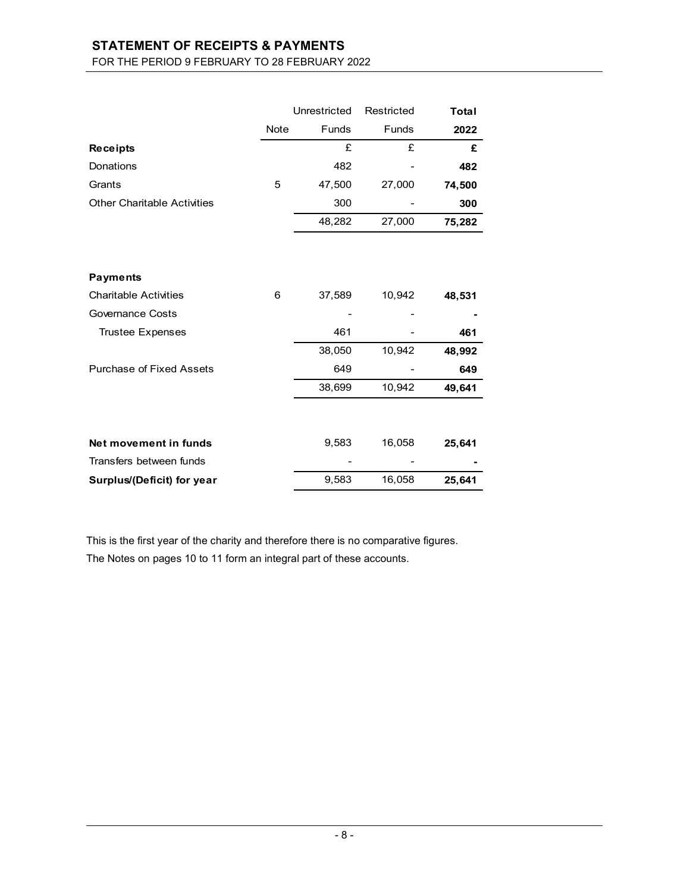# STATEMENT OF RECEIPTS & PAYMENTS FOR THE PERIOD 9 FEBRUARY TO 28 FEBRUARY 2022

|                                    |      | Unrestricted | Restricted   | Total  |
|------------------------------------|------|--------------|--------------|--------|
|                                    | Note | <b>Funds</b> | <b>Funds</b> | 2022   |
| <b>Receipts</b>                    |      | £            | £            | £      |
| Donations                          |      | 482          |              | 482    |
| Grants                             | 5    | 47,500       | 27,000       | 74,500 |
| <b>Other Charitable Activities</b> |      | 300          |              | 300    |
|                                    |      | 48,282       | 27,000       | 75,282 |
|                                    |      |              |              |        |
| <b>Payments</b>                    |      |              |              |        |
| <b>Charitable Activities</b>       | 6    | 37,589       | 10,942       | 48,531 |
| <b>Governance Costs</b>            |      |              |              |        |
| <b>Trustee Expenses</b>            |      | 461          |              | 461    |
|                                    |      | 38,050       | 10,942       | 48,992 |
| Purchase of Fixed Assets           |      | 649          |              | 649    |
|                                    |      | 38,699       | 10,942       | 49,641 |
|                                    |      |              |              |        |
| Net movement in funds              |      | 9,583        | 16,058       | 25,641 |
| Transfers between funds            |      |              |              |        |
| Surplus/(Deficit) for year         |      | 9,583        | 16,058       | 25,641 |

This is the first year of the charity and therefore there is no comparative figures. The Notes on pages 10 to 11 form an integral part of these accounts.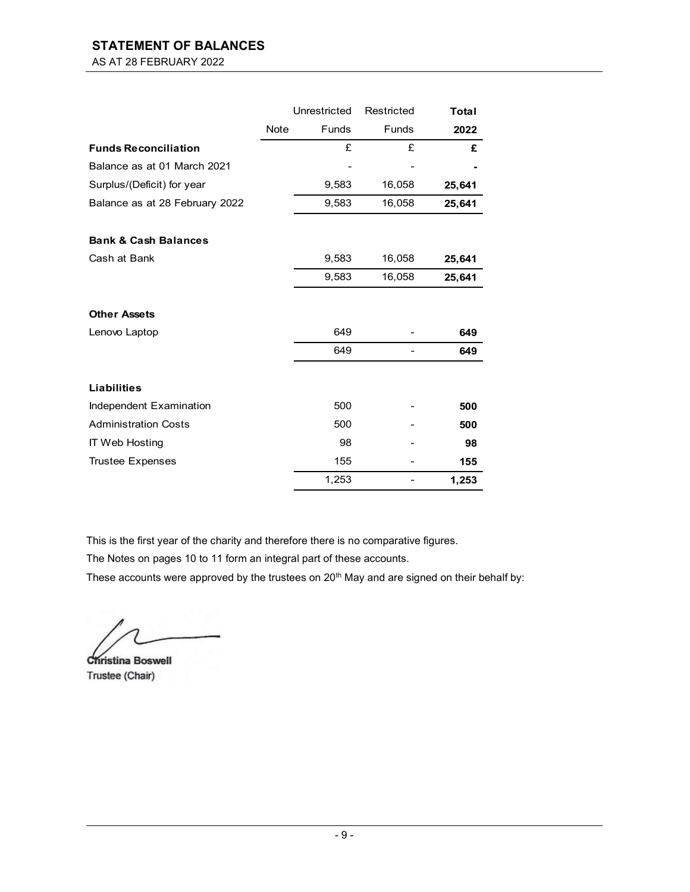# STATEMENT OF BALANCES

AS AT 28 FEBRUARY 2022

|                                 |      | Unrestricted | Restricted   | Total  |
|---------------------------------|------|--------------|--------------|--------|
|                                 | Note | <b>Funds</b> | <b>Funds</b> | 2022   |
| <b>Funds Reconciliation</b>     |      | £            | £            | £      |
| Balance as at 01 March 2021     |      |              |              |        |
| Surplus/(Deficit) for year      |      | 9,583        | 16,058       | 25,641 |
| Balance as at 28 February 2022  |      | 9,583        | 16,058       | 25,641 |
| <b>Bank &amp; Cash Balances</b> |      |              |              |        |
| Cash at Bank                    |      | 9,583        | 16,058       | 25,641 |
|                                 |      | 9,583        | 16,058       | 25,641 |
| <b>Other Assets</b>             |      |              |              |        |
| Lenovo Laptop                   |      | 649          |              | 649    |
|                                 |      | 649          |              | 649    |
| <b>Liabilities</b>              |      |              |              |        |
| Independent Examination         |      | 500          |              | 500    |
| <b>Administration Costs</b>     |      | 500          |              | 500    |
| <b>IT Web Hosting</b>           |      | 98           |              | 98     |
| <b>Trustee Expenses</b>         |      | 155          |              | 155    |
|                                 |      | 1,253        |              | 1,253  |

This is the first year of the charity and therefore there is no comparative figures.

The Notes on pages 10 to 11 form an integral part of these accounts.

These accounts were approved by the trustees on 20<sup>th</sup> May and are signed on their behalf by:

Christina Boswell Trustee (Chair)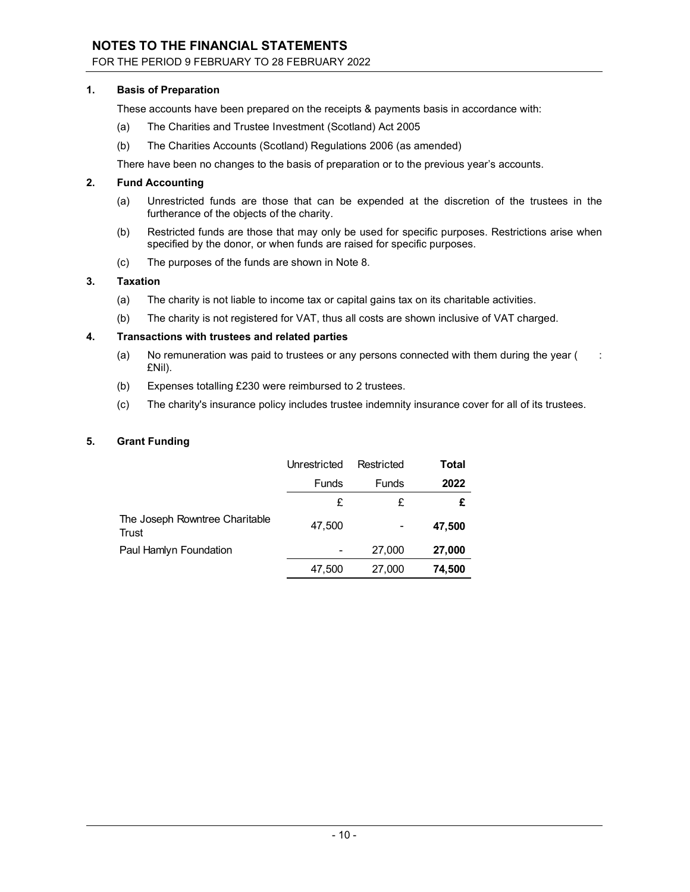# NOTES TO THE FINANCIAL STATEMENTS

FOR THE PERIOD 9 FEBRUARY TO 28 FEBRUARY 2022

#### 1. Basis of Preparation

These accounts have been prepared on the receipts & payments basis in accordance with:

- (a) The Charities and Trustee Investment (Scotland) Act 2005
- (b) The Charities Accounts (Scotland) Regulations 2006 (as amended)
- There have been no changes to the basis of preparation or to the previous year's accounts.

#### 2. Fund Accounting

- (a) Unrestricted funds are those that can be expended at the discretion of the trustees in the furtherance of the objects of the charity.
- (b) Restricted funds are those that may only be used for specific purposes. Restrictions arise when specified by the donor, or when funds are raised for specific purposes.
- (c) The purposes of the funds are shown in Note 8.

#### 3. Taxation

- (a) The charity is not liable to income tax or capital gains tax on its charitable activities.
- (b) The charity is not registered for VAT, thus all costs are shown inclusive of VAT charged.

#### 4. Transactions with trustees and related parties

- (a) No remuneration was paid to trustees or any persons connected with them during the year  $($ : £Nil).
- (b) Expenses totalling £230 were reimbursed to 2 trustees.
- (c) The charity's insurance policy includes trustee indemnity insurance cover for all of its trustees.

#### 5. Grant Funding

|                                         | Unrestricted | Restricted   | Total  |
|-----------------------------------------|--------------|--------------|--------|
|                                         | <b>Funds</b> | <b>Funds</b> | 2022   |
|                                         | £            | £            | £      |
| The Joseph Rowntree Charitable<br>Trust | 47,500       |              | 47,500 |
| Paul Hamlyn Foundation                  |              | 27,000       | 27,000 |
|                                         | 47,500       | 27,000       | 74,500 |